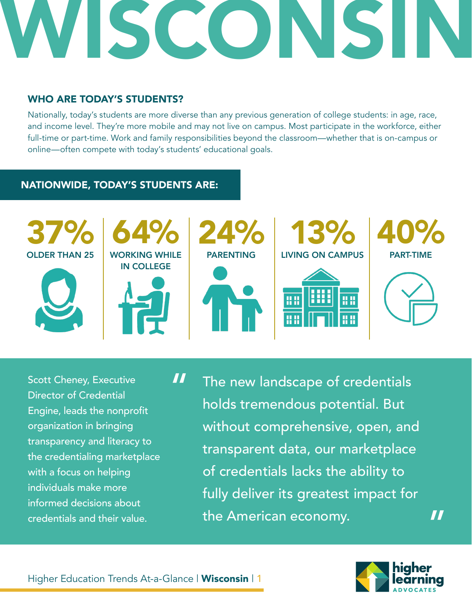#### WHO ARE TODAY'S STUDENTS?

Nationally, today's students are more diverse than any previous generation of college students: in age, race, and income level. They're more mobile and may not live on campus. Most participate in the workforce, either full-time or part-time. Work and family responsibilities beyond the classroom—whether that is on-campus or online—often compete with today's students' educational goals.

#### NATIONWIDE, TODAY'S STUDENTS ARE:



Scott Cheney, Executive Director of Credential Engine, leads the nonprofit organization in bringing transparency and literacy to the credentialing marketplace with a focus on helping individuals make more informed decisions about credentials and their value.

The new landscape of credentials holds tremendous potential. But without comprehensive, open, and transparent data, our marketplace of credentials lacks the ability to fully deliver its greatest impact for the American economy. "



"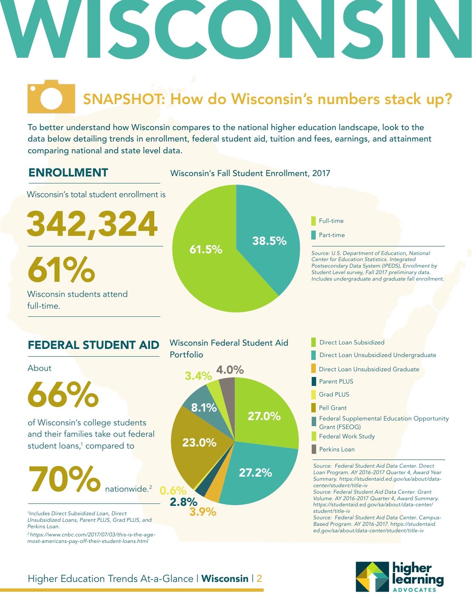### SNAPSHOT: How do Wisconsin's numbers stack up?

To better understand how Wisconsin compares to the national higher education landscape, look to the data below detailing trends in enrollment, federal student aid, tuition and fees, earnings, and attainment comparing national and state level data.





#### Higher Education Trends At-a-Glance | Wisconsin | 2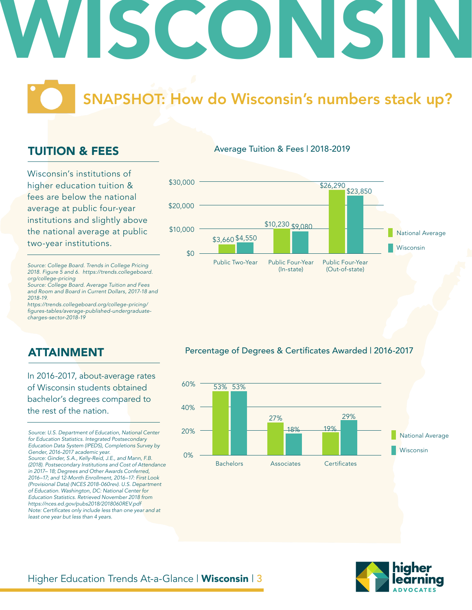### SNAPSHOT: How do Wisconsin's numbers stack up?

#### TUITION & FEES

Wisconsin's institutions of higher education tuition & fees are below the national average at public four-year institutions and slightly above the national average at public two-year institutions.

*Source: College Board. Trends in College Pricing 2018. Figure 5 and 6. https://trends.collegeboard. org/college-pricing*

*Source: College Board. Average Tuition and Fees and Room and Board in Current Dollars, 2017-18 and 2018-19.*

*https://trends.collegeboard.org/college-pricing/* figures-tables/average-published-undergraduate*charges-sector-2018-19*

#### Average Tuition & Fees | 2018-2019



#### ATTAINMENT

In 2016-2017, about-average rates of Wisconsin students obtained bachelor's degrees compared to the rest of the nation.

*Source: U.S. Department of Education, National Center for Education Statistics. Integrated Postsecondary Education Data System (IPEDS), Completions Survey by Gender, 2016-2017 academic year. Source: Ginder, S.A., Kelly-Reid, J.E., and Mann, F.B. (2018). Postsecondary Institutions and Cost of Attendance in 2017– 18; Degrees and Other Awards Conferred, 2016–17; and 12-Month Enrollment, 2016–17: First Look (Provisional Data) (NCES 2018-060rev). U.S. Department of Education. Washington, DC: National Center for Education Statistics. Retrieved November 2018 from https://nces.ed.gov/pubs2018/2018060REV.pdf* Note: Certificates only include less than one year and at *least one year but less than 4 years.* 

#### Percentage of Degrees & Certificates Awarded | 2016-2017



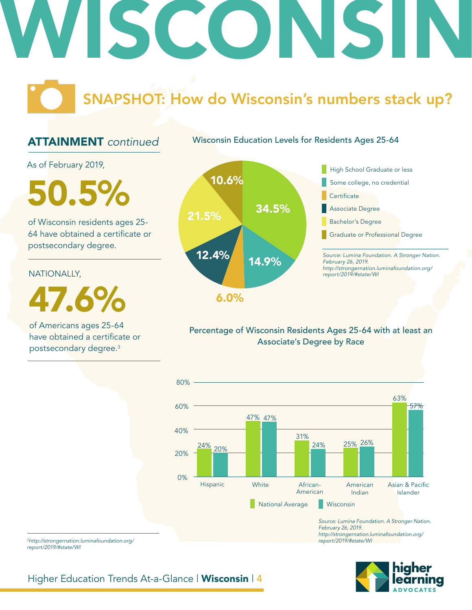## SCONS

### SNAPSHOT: How do Wisconsin's numbers stack up?

#### ATTAINMENT *continued*

As of February 2019,

50.5%

of Wisconsin residents ages 25- 64 have obtained a certificate or postsecondary degree.

#### NATIONALLY,

47.6%

of Americans ages 25-64 have obtained a certificate or postsecondary degree.3



Wisconsin Education Levels for Residents Ages 25-64

#### Percentage of Wisconsin Residents Ages 25-64 with at least an Associate's Degree by Race



*Source: Lumina Foundation. A Stronger Nation. February 26, 2019. http://strongernation.luminafoundation.org/ report/2019/#state/WI*

<sup>3</sup>*http://strongernation.luminafoundation.org/ report/2019/#state/WI*

Higher Education Trends At-a-Glance | Wisconsin | 4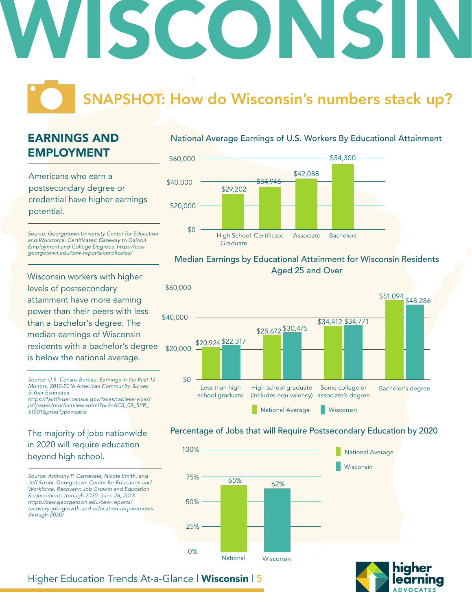### SNAPSHOT: How do Wisconsin's numbers stack up?

### EARNINGS AND EMPLOYMENT

Americans who earn a postsecondary degree or credential have higher earnings potential.

*Source: Georgetown University Center for Education*  and Workforce. Certificates: Gateway to Gainful *Employment and College Degrees. https://cew.* georgetown.edu/cew-reports/certificates/

Wisconsin workers with higher levels of postsecondary attainment have more earning power than their peers with less than a bachelor's degree. The median earnings of Wisconsin residents with a bachelor's degree is below the national average.

*Source: U.S. Census Bureau, Earnings in the Past 12 Months, 2012-2016 American Community Survey 5-Year Estimates.* https://factfinder.census.gov/faces/tableservices/

*jsf/pages/productview.xhtml?pid=ACS\_09\_5YR\_ S1501&prodType=table*

#### The majority of jobs nationwide in 2020 will require education beyond high school.

*Source: Anthony P. Carnevale, Nicole Smith, and Jeff Strohl. Georgetown Center for Education and Workforce. Recovery: Job Growth and Education Requirements through 2020. June 26, 2013. https://cew.georgetown.edu/cew-reports/ recovery-job-growth-and-education-requirementsthrough-2020/*

#### National Average Earnings of U.S. Workers By Educational Attainment



#### Median Earnings by Educational Attainment for Wisconsin Residents Aged 25 and Over



#### Percentage of Jobs that will Require Postsecondary Education by 2020





Higher Education Trends At-a-Glance | Wisconsin | 5